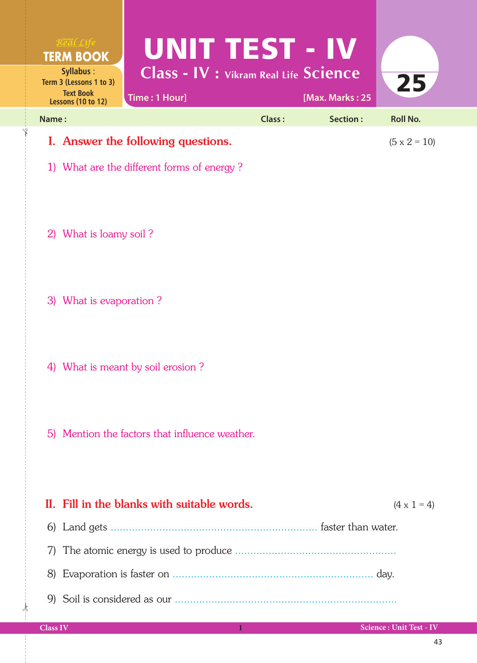| Time: 1 Hour]                              |               |          | 25                                                                                |                     |
|--------------------------------------------|---------------|----------|-----------------------------------------------------------------------------------|---------------------|
|                                            | <b>Class:</b> | Section: | Roll No.                                                                          |                     |
| I. Answer the following questions.         |               |          |                                                                                   |                     |
| 1) What are the different forms of energy? |               |          |                                                                                   |                     |
|                                            |               |          | UNIT TEST - IV<br><b>Class - IV : Vikram Real Life Science</b><br>[Max. Marks: 25 | $(5 \times 2 = 10)$ |

2) What is loamy soil ?

✁

3) What is evaporation ?

4) What is meant by soil erosion ?

5) Mention the factors that influence weather.

| II. Fill in the blanks with suitable words. | $(4 \times 1 = 4)$ |
|---------------------------------------------|--------------------|
| faster than water.                          |                    |
|                                             |                    |
| day.                                        |                    |
|                                             |                    |